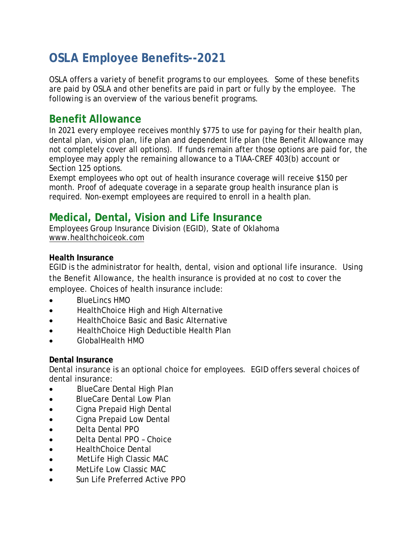# **OSLA Employee Benefits--2021**

OSLA offers a variety of benefit programs to our employees. Some of these benefits are paid by OSLA and other benefits are paid in part or fully by the employee. The following is an overview of the various benefit programs.

### **Benefit Allowance**

In 2021 every employee receives monthly \$775 to use for paying for their health plan, dental plan, vision plan, life plan and dependent life plan (the Benefit Allowance may not completely cover all options). If funds remain after those options are paid for, the employee may apply the remaining allowance to a TIAA-CREF 403(b) account or Section 125 options.

Exempt employees who opt out of health insurance coverage will receive \$150 per month. Proof of adequate coverage in a separate group health insurance plan is required. Non-exempt employees are required to enroll in a health plan.

# **Medical, Dental, Vision and Life Insurance**

Employees Group Insurance Division (EGID), State of Oklahoma [www.healthchoiceok.com](http://www.healthchoiceok.com/)

#### **Health Insurance**

EGID is the administrator for health, dental, vision and optional life insurance. Using the Benefit Allowance, the health insurance is provided at no cost to cover the employee. Choices of health insurance include:

- BlueLincs HMO
- HealthChoice High and High Alternative
- HealthChoice Basic and Basic Alternative
- HealthChoice High Deductible Health Plan
- GlobalHealth HMO

#### **Dental Insurance**

Dental insurance is an optional choice for employees. EGID offers several choices of dental insurance:

- BlueCare Dental High Plan
- BlueCare Dental Low Plan
- Cigna Prepaid High Dental
- Cigna Prepaid Low Dental
- Delta Dental PPO
- Delta Dental PPO Choice
- **HealthChoice Dental**
- MetLife High Classic MAC
- MetLife Low Classic MAC
- Sun Life Preferred Active PPO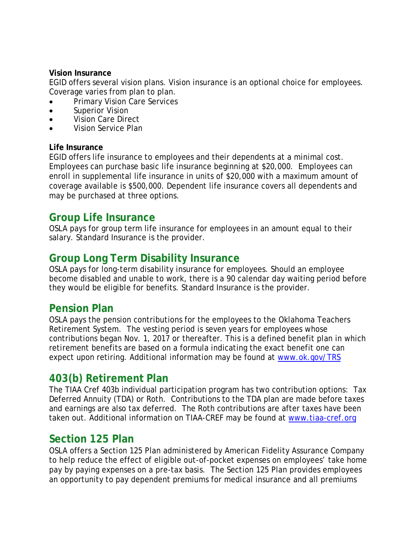#### **Vision Insurance**

EGID offers several vision plans. Vision insurance is an optional choice for employees. Coverage varies from plan to plan.

- Primary Vision Care Services
- Superior Vision
- Vision Care Direct
- Vision Service Plan

#### **Life Insurance**

EGID offers life insurance to employees and their dependents at a minimal cost. Employees can purchase basic life insurance beginning at \$20,000. Employees can enroll in supplemental life insurance in units of \$20,000 with a maximum amount of coverage available is \$500,000. Dependent life insurance covers all dependents and may be purchased at three options.

#### **Group Life Insurance**

OSLA pays for group term life insurance for employees in an amount equal to their salary. Standard Insurance is the provider.

### **Group Long Term Disability Insurance**

OSLA pays for long-term disability insurance for employees. Should an employee become disabled and unable to work, there is a 90 calendar day waiting period before they would be eligible for benefits. Standard Insurance is the provider.

### **Pension Plan**

OSLA pays the pension contributions for the employees to the Oklahoma Teachers Retirement System. The vesting period is seven years for employees whose contributions began Nov. 1, 2017 or thereafter. This is a defined benefit plan in which retirement benefits are based on a formula indicating the exact benefit one can expect upon retiring. Additional information may be found at [www.ok.gov/TRS](http://www.ok.gov/TRS/)

### **403(b) Retirement Plan**

The TIAA Cref 403b individual participation program has two contribution options: Tax Deferred Annuity (TDA) or Roth. Contributions to the TDA plan are made before taxes and earnings are also tax deferred. The Roth contributions are after taxes have been taken out. Additional information on TIAA-CREF may be found at [www.tiaa-cref.org](http://www.tiaa-cref.org/)

### **Section 125 Plan**

OSLA offers a Section 125 Plan administered by American Fidelity Assurance Company to help reduce the effect of eligible out-of-pocket expenses on employees' take home pay by paying expenses on a pre-tax basis. The Section 125 Plan provides employees an opportunity to pay dependent premiums for medical insurance and all premiums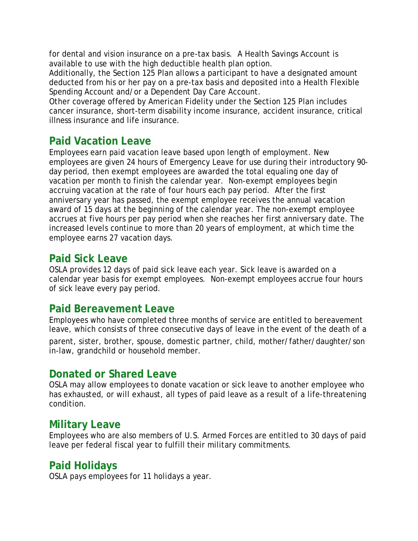for dental and vision insurance on a pre-tax basis. A Health Savings Account is available to use with the high deductible health plan option.

Additionally, the Section 125 Plan allows a participant to have a designated amount deducted from his or her pay on a pre-tax basis and deposited into a Health Flexible Spending Account and/or a Dependent Day Care Account.

Other coverage offered by American Fidelity under the Section 125 Plan includes cancer insurance, short-term disability income insurance, accident insurance, critical illness insurance and life insurance.

# **Paid Vacation Leave**

Employees earn paid vacation leave based upon length of employment. New employees are given 24 hours of Emergency Leave for use during their introductory 90 day period, then exempt employees are awarded the total equaling one day of vacation per month to finish the calendar year. Non-exempt employees begin accruing vacation at the rate of four hours each pay period. After the first anniversary year has passed, the exempt employee receives the annual vacation award of 15 days at the beginning of the calendar year. The non-exempt employee accrues at five hours per pay period when she reaches her first anniversary date. The increased levels continue to more than 20 years of employment, at which time the employee earns 27 vacation days.

### **Paid Sick Leave**

OSLA provides 12 days of paid sick leave each year. Sick leave is awarded on a calendar year basis for exempt employees. Non-exempt employees accrue four hours of sick leave every pay period.

### **Paid Bereavement Leave**

Employees who have completed three months of service are entitled to bereavement leave, which consists of three consecutive days of leave in the event of the death of a

parent, sister, brother, spouse, domestic partner, child, mother/father/daughter/son in-law, grandchild or household member.

### **Donated or Shared Leave**

OSLA may allow employees to donate vacation or sick leave to another employee who has exhausted, or will exhaust, all types of paid leave as a result of a life-threatening condition.

# **Military Leave**

Employees who are also members of U.S. Armed Forces are entitled to 30 days of paid leave per federal fiscal year to fulfill their military commitments.

# **Paid Holidays**

OSLA pays employees for 11 holidays a year.